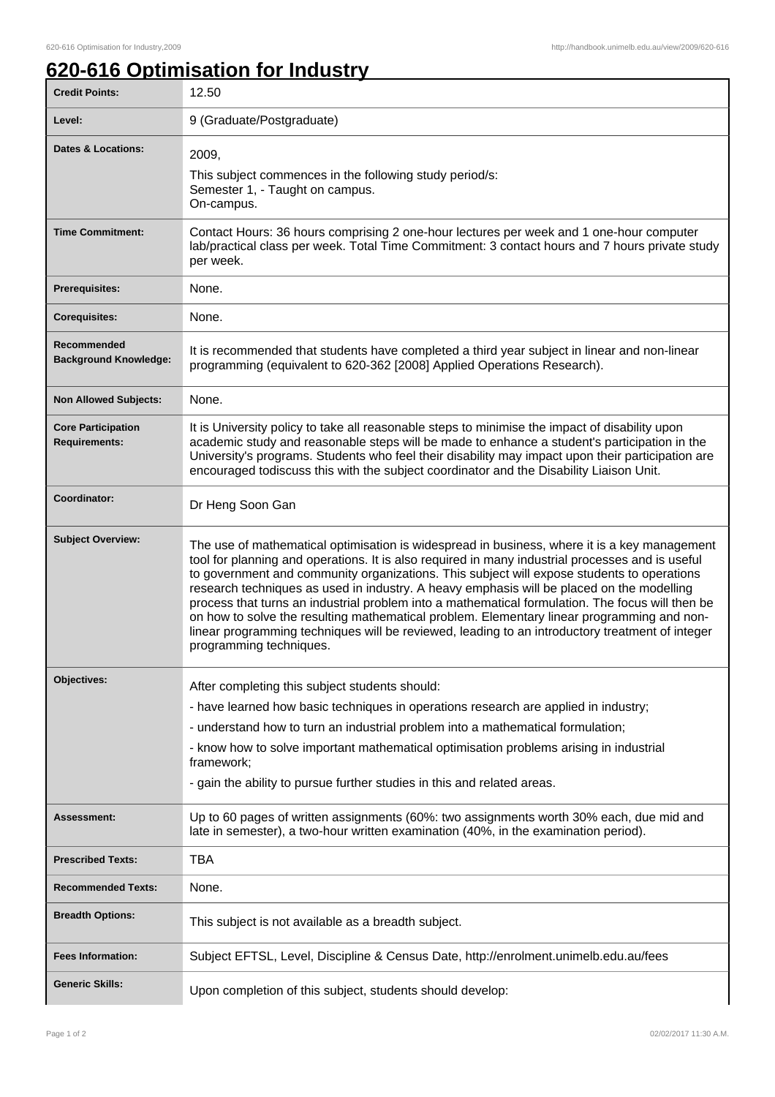## **620-616 Optimisation for Industry**

| <b>Credit Points:</b>                             | 12.50                                                                                                                                                                                                                                                                                                                                                                                                                                                                                                                                                                                                                                                                                                                       |
|---------------------------------------------------|-----------------------------------------------------------------------------------------------------------------------------------------------------------------------------------------------------------------------------------------------------------------------------------------------------------------------------------------------------------------------------------------------------------------------------------------------------------------------------------------------------------------------------------------------------------------------------------------------------------------------------------------------------------------------------------------------------------------------------|
| Level:                                            | 9 (Graduate/Postgraduate)                                                                                                                                                                                                                                                                                                                                                                                                                                                                                                                                                                                                                                                                                                   |
| <b>Dates &amp; Locations:</b>                     | 2009,<br>This subject commences in the following study period/s:<br>Semester 1, - Taught on campus.<br>On-campus.                                                                                                                                                                                                                                                                                                                                                                                                                                                                                                                                                                                                           |
| <b>Time Commitment:</b>                           | Contact Hours: 36 hours comprising 2 one-hour lectures per week and 1 one-hour computer<br>lab/practical class per week. Total Time Commitment: 3 contact hours and 7 hours private study<br>per week.                                                                                                                                                                                                                                                                                                                                                                                                                                                                                                                      |
| <b>Prerequisites:</b>                             | None.                                                                                                                                                                                                                                                                                                                                                                                                                                                                                                                                                                                                                                                                                                                       |
| <b>Corequisites:</b>                              | None.                                                                                                                                                                                                                                                                                                                                                                                                                                                                                                                                                                                                                                                                                                                       |
| Recommended<br><b>Background Knowledge:</b>       | It is recommended that students have completed a third year subject in linear and non-linear<br>programming (equivalent to 620-362 [2008] Applied Operations Research).                                                                                                                                                                                                                                                                                                                                                                                                                                                                                                                                                     |
| <b>Non Allowed Subjects:</b>                      | None.                                                                                                                                                                                                                                                                                                                                                                                                                                                                                                                                                                                                                                                                                                                       |
| <b>Core Participation</b><br><b>Requirements:</b> | It is University policy to take all reasonable steps to minimise the impact of disability upon<br>academic study and reasonable steps will be made to enhance a student's participation in the<br>University's programs. Students who feel their disability may impact upon their participation are<br>encouraged todiscuss this with the subject coordinator and the Disability Liaison Unit.                                                                                                                                                                                                                                                                                                                              |
| Coordinator:                                      | Dr Heng Soon Gan                                                                                                                                                                                                                                                                                                                                                                                                                                                                                                                                                                                                                                                                                                            |
| <b>Subject Overview:</b>                          | The use of mathematical optimisation is widespread in business, where it is a key management<br>tool for planning and operations. It is also required in many industrial processes and is useful<br>to government and community organizations. This subject will expose students to operations<br>research techniques as used in industry. A heavy emphasis will be placed on the modelling<br>process that turns an industrial problem into a mathematical formulation. The focus will then be<br>on how to solve the resulting mathematical problem. Elementary linear programming and non-<br>linear programming techniques will be reviewed, leading to an introductory treatment of integer<br>programming techniques. |
| <b>Objectives:</b>                                | After completing this subject students should:                                                                                                                                                                                                                                                                                                                                                                                                                                                                                                                                                                                                                                                                              |
|                                                   | - have learned how basic techniques in operations research are applied in industry;                                                                                                                                                                                                                                                                                                                                                                                                                                                                                                                                                                                                                                         |
|                                                   | - understand how to turn an industrial problem into a mathematical formulation;                                                                                                                                                                                                                                                                                                                                                                                                                                                                                                                                                                                                                                             |
|                                                   | - know how to solve important mathematical optimisation problems arising in industrial<br>framework;                                                                                                                                                                                                                                                                                                                                                                                                                                                                                                                                                                                                                        |
|                                                   | - gain the ability to pursue further studies in this and related areas.                                                                                                                                                                                                                                                                                                                                                                                                                                                                                                                                                                                                                                                     |
| <b>Assessment:</b>                                | Up to 60 pages of written assignments (60%: two assignments worth 30% each, due mid and<br>late in semester), a two-hour written examination (40%, in the examination period).                                                                                                                                                                                                                                                                                                                                                                                                                                                                                                                                              |
| <b>Prescribed Texts:</b>                          | TBA                                                                                                                                                                                                                                                                                                                                                                                                                                                                                                                                                                                                                                                                                                                         |
| <b>Recommended Texts:</b>                         | None.                                                                                                                                                                                                                                                                                                                                                                                                                                                                                                                                                                                                                                                                                                                       |
| <b>Breadth Options:</b>                           | This subject is not available as a breadth subject.                                                                                                                                                                                                                                                                                                                                                                                                                                                                                                                                                                                                                                                                         |
| <b>Fees Information:</b>                          | Subject EFTSL, Level, Discipline & Census Date, http://enrolment.unimelb.edu.au/fees                                                                                                                                                                                                                                                                                                                                                                                                                                                                                                                                                                                                                                        |
| <b>Generic Skills:</b>                            | Upon completion of this subject, students should develop:                                                                                                                                                                                                                                                                                                                                                                                                                                                                                                                                                                                                                                                                   |